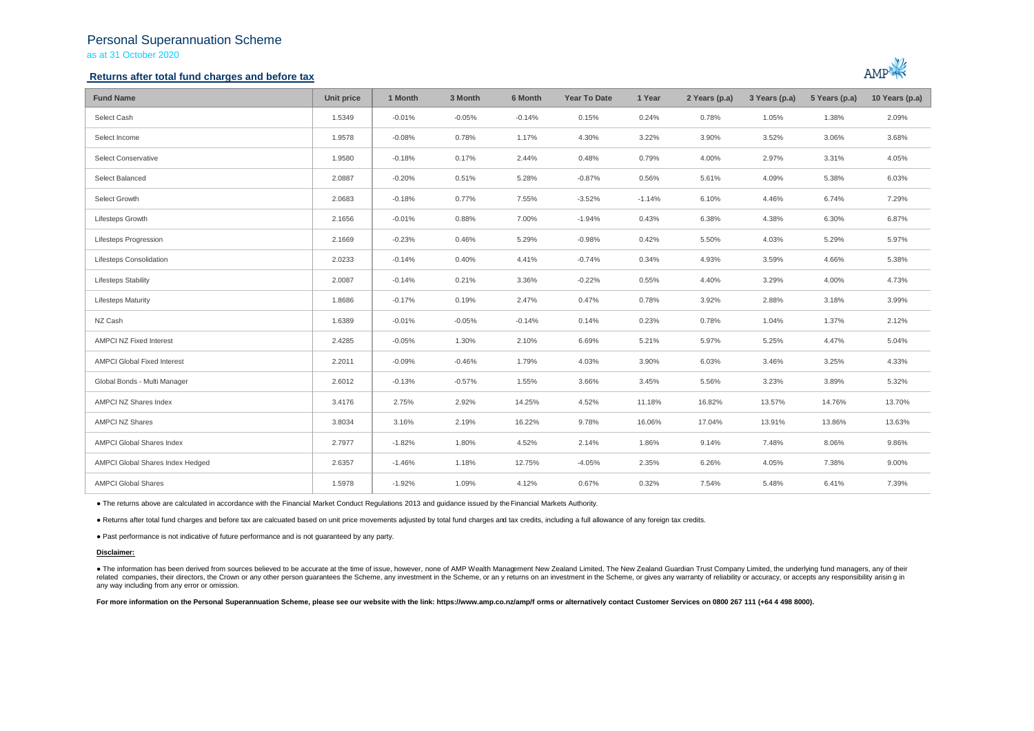# Personal Superannuation Scheme as at 31 October 2020

### **Returns after total fund charges and before tax**



| <b>Fund Name</b>                   | Unit price | 1 Month  | 3 Month  | 6 Month  | Year To Date | 1 Year   | 2 Years (p.a) | 3 Years (p.a) | 5 Years (p.a) | 10 Years (p.a) |
|------------------------------------|------------|----------|----------|----------|--------------|----------|---------------|---------------|---------------|----------------|
| Select Cash                        | 1.5349     | $-0.01%$ | $-0.05%$ | $-0.14%$ | 0.15%        | 0.24%    | 0.78%         | 1.05%         | 1.38%         | 2.09%          |
| Select Income                      | 1.9578     | $-0.08%$ | 0.78%    | 1.17%    | 4.30%        | 3.22%    | 3.90%         | 3.52%         | 3.06%         | 3.68%          |
| Select Conservative                | 1.9580     | $-0.18%$ | 0.17%    | 2.44%    | 0.48%        | 0.79%    | 4.00%         | 2.97%         | 3.31%         | 4.05%          |
| Select Balanced                    | 2.0887     | $-0.20%$ | 0.51%    | 5.28%    | $-0.87%$     | 0.56%    | 5.61%         | 4.09%         | 5.38%         | 6.03%          |
| Select Growth                      | 2.0683     | $-0.18%$ | 0.77%    | 7.55%    | $-3.52%$     | $-1.14%$ | 6.10%         | 4.46%         | 6.74%         | 7.29%          |
| Lifesteps Growth                   | 2.1656     | $-0.01%$ | 0.88%    | 7.00%    | $-1.94%$     | 0.43%    | 6.38%         | 4.38%         | 6.30%         | 6.87%          |
| <b>Lifesteps Progression</b>       | 2.1669     | $-0.23%$ | 0.46%    | 5.29%    | $-0.98%$     | 0.42%    | 5.50%         | 4.03%         | 5.29%         | 5.97%          |
| Lifesteps Consolidation            | 2.0233     | $-0.14%$ | 0.40%    | 4.41%    | $-0.74%$     | 0.34%    | 4.93%         | 3.59%         | 4.66%         | 5.38%          |
| <b>Lifesteps Stability</b>         | 2.0087     | $-0.14%$ | 0.21%    | 3.36%    | $-0.22%$     | 0.55%    | 4.40%         | 3.29%         | 4.00%         | 4.73%          |
| <b>Lifesteps Maturity</b>          | 1.8686     | $-0.17%$ | 0.19%    | 2.47%    | 0.47%        | 0.78%    | 3.92%         | 2.88%         | 3.18%         | 3.99%          |
| NZ Cash                            | 1.6389     | $-0.01%$ | $-0.05%$ | $-0.14%$ | 0.14%        | 0.23%    | 0.78%         | 1.04%         | 1.37%         | 2.12%          |
| <b>AMPCI NZ Fixed Interest</b>     | 2.4285     | $-0.05%$ | 1.30%    | 2.10%    | 6.69%        | 5.21%    | 5.97%         | 5.25%         | 4.47%         | 5.04%          |
| <b>AMPCI Global Fixed Interest</b> | 2.2011     | $-0.09%$ | $-0.46%$ | 1.79%    | 4.03%        | 3.90%    | 6.03%         | 3.46%         | 3.25%         | 4.33%          |
| Global Bonds - Multi Manager       | 2.6012     | $-0.13%$ | $-0.57%$ | 1.55%    | 3.66%        | 3.45%    | 5.56%         | 3.23%         | 3.89%         | 5.32%          |
| AMPCI NZ Shares Index              | 3.4176     | 2.75%    | 2.92%    | 14.25%   | 4.52%        | 11.18%   | 16.82%        | 13.57%        | 14.76%        | 13.70%         |
| <b>AMPCI NZ Shares</b>             | 3.8034     | 3.16%    | 2.19%    | 16.22%   | 9.78%        | 16.06%   | 17.04%        | 13.91%        | 13.86%        | 13.63%         |
| AMPCI Global Shares Index          | 2.7977     | $-1.82%$ | 1.80%    | 4.52%    | 2.14%        | 1.86%    | 9.14%         | 7.48%         | 8.06%         | 9.86%          |
| AMPCI Global Shares Index Hedged   | 2.6357     | $-1.46%$ | 1.18%    | 12.75%   | $-4.05%$     | 2.35%    | 6.26%         | 4.05%         | 7.38%         | 9.00%          |
| <b>AMPCI Global Shares</b>         | 1.5978     | $-1.92%$ | 1.09%    | 4.12%    | 0.67%        | 0.32%    | 7.54%         | 5.48%         | 6.41%         | 7.39%          |

● The returns above are calculated in accordance with the Financial Market Conduct Regulations 2013 and guidance issued by the Financial Markets Authority.

● Returns after total fund charges and before tax are calcuated based on unit price movements adjusted by total fund charges and tax credits, including a full allowance of any foreign tax credits.

● Past performance is not indicative of future performance and is not guaranteed by any party.

#### **Disclaimer:**

. The information has been derived from sources believed to be accurate at the time of issue, however, none of AMP Wealth Management New Zealand Limited, The New Zealand Guardian Trust Company Limited, the underlying fund related companies, their directors, the Crown or any other person quarantees the Scheme, any investment in the Scheme, or any returns on an investment in the Scheme, or gives any warranty of reliability or accuracy, or acc any way including from any error or omission.

For more information on the Personal Superannuation Scheme, please see our website with the link: https://www.amp.co.nz/amp/f orms or alternatively contact Customer Services on 0800 267 111 (+64 4 498 8000).